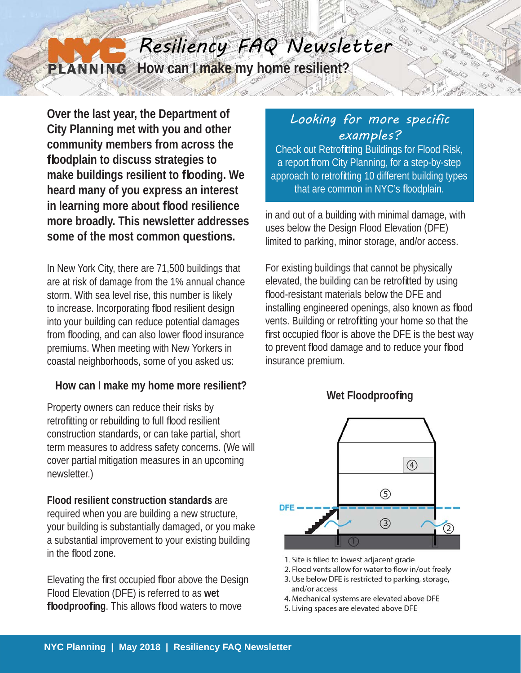## Resiliency FAQ Newsletter **How can I make my home resilient? PLANNING**

**Over the last year, the Department of City Planning met with you and other community members from across the fl oodplain to discuss strategies to make buildings resilient to fl ooding. We heard many of you express an interest in learning more about fl ood resilience more broadly. This newsletter addresses some of the most common questions.**

In New York City, there are 71,500 buildings that are at risk of damage from the 1% annual chance storm. With sea level rise, this number is likely to increase. Incorporating flood resilient design into your building can reduce potential damages from flooding, and can also lower flood insurance premiums. When meeting with New Yorkers in coastal neighborhoods, some of you asked us:

#### **How can I make my home more resilient?**

Property owners can reduce their risks by retrofitting or rebuilding to full flood resilient construction standards, or can take partial, short term measures to address safety concerns. (We will cover partial mitigation measures in an upcoming newsletter.)

**Flood resilient construction standards** are required when you are building a new structure, your building is substantially damaged, or you make a substantial improvement to your existing building in the flood zone.

Elevating the first occupied floor above the Design Flood Elevation (DFE) is referred to as **wet floodproofing**. This allows flood waters to move

# Looking for more specific examples?

Check out Retrofitting Buildings for Flood Risk, a report from City Planning, for a step-by-step approach to retrofitting 10 different building types that are common in NYC's floodplain.

in and out of a building with minimal damage, with uses below the Design Flood Elevation (DFE) limited to parking, minor storage, and/or access.

For existing buildings that cannot be physically elevated, the building can be retrofitted by using flood-resistant materials below the DFE and installing engineered openings, also known as flood vents. Building or retrofitting your home so that the first occupied floor is above the DFE is the best way to prevent flood damage and to reduce your flood insurance premium.



### Wet Floodproofing

- 1. Site is filled to lowest adjacent grade
- 2. Flood vents allow for water to flow in/out freely
- 3. Use below DFE is restricted to parking, storage, and/or access
- 4. Mechanical systems are elevated above DFE
- 5. Living spaces are elevated above DFE